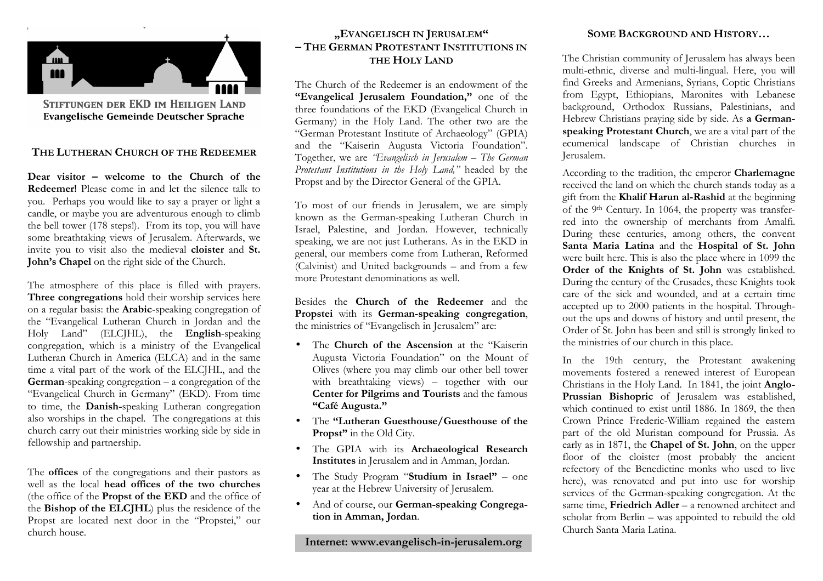

STIFTUNGEN DER EKD IM HEILIGEN LAND **Evangelische Gemeinde Deutscher Sprache** 

## **THE LUTHERAN CHURCH OF THE REDEEMER**

**Dear visitor – welcome to the Church of the Redeemer!** Please come in and let the silence talk to you. Perhaps you would like to say a prayer or light a candle, or maybe you are adventurous enough to climb the bell tower (178 steps!). From its top, you will have some breathtaking views of Jerusalem. Afterwards, we invite you to visit also the medieval **cloister** and **St. John's Chapel** on the right side of the Church.

The atmosphere of this place is filled with prayers. **Three congregations** hold their worship services here on a regular basis: the **Arabic**-speaking congregation of the "Evangelical Lutheran Church in Jordan and the Holy Land" (ELCJHL), the **English**-speaking congregation, which is a ministry of the Evangelical Lutheran Church in America (ELCA) and in the same time a vital part of the work of the ELCJHL, and the **German**-speaking congregation – a congregation of the "Evangelical Church in Germany" (EKD). From time to time, the **Danish-**speaking Lutheran congregation also worships in the chapel. The congregations at this church carry out their ministries working side by side in fellowship and partnership.

The **offices** of the congregations and their pastors as well as the local **head offices of the two churches** (the office of the **Propst of the EKD** and the office of the **Bishop of the ELCJHL**) plus the residence of the Propst are located next door in the "Propstei," ourchurch house.

# **"EVANGELISCH IN JERUSALEM" –THE GERMAN PROTESTANT INSTITUTIONS IN THE HOLY LAND**

The Church of the Redeemer is an endowment of the **"Evangelical Jerusalem Foundation,"** one of the three foundations of the EKD (Evangelical Church in Germany) in the Holy Land. The other two are the "German Protestant Institute of Archaeology" (GPIA) and the "Kaiserin Augusta Victoria Foundation". Together, we are *"Evangelisch in Jerusalem – The German Protestant Institutions in the Holy Land,"* headed by the Propst and by the Director General of the GPIA.

To most of our friends in Jerusalem, we are simply known as the German-speaking Lutheran Church in Israel, Palestine, and Jordan. However, technically speaking, we are not just Lutherans. As in the EKD in general, our members come from Lutheran, Reformed (Calvinist) and United backgrounds – and from a fewmore Protestant denominations as well.

Besides the **Church of the Redeemer** and the **Propstei** with its **German-speaking congregation**, the ministries of "Evangelisch in Jerusalem" are:

- The **Church of the Ascension** at the "Kaiserin Augusta Victoria Foundation" on the Mount of Olives (where you may climb our other bell tower with breathtaking views) – together with our **Center for Pilgrims and Tourists** and the famous **"Café Augusta."**
- The **"Lutheran Guesthouse/Guesthouse of the Propst"** in the Old City.
- The GPIA with its **Archaeological Research Institutes** in Jerusalem and in Amman, Jordan.
- The Study Program "**Studium in Israel"** one year at the Hebrew University of Jerusalem.
- And of course, our **German-speaking Congregation in Amman, Jordan**.

**Internet: www.evangelisch-in-jerusalem.org**

## **SOME BACKGROUND AND HISTORY…**

The Christian community of Jerusalem has always been multi-ethnic, diverse and multi-lingual. Here, you will find Greeks and Armenians, Syrians, Coptic Christians from Egypt, Ethiopians, Maronites with Lebanese background, Orthodox Russians, Palestinians, and Hebrew Christians praying side by side. As **a Germanspeaking Protestant Church**, we are a vital part of the ecumenical landscape of Christian churches in Jerusalem.

According to the tradition, the emperor **Charlemagne** received the land on which the church stands today as a gift from the **Khalif Harun al-Rashid** at the beginning of the 9th Century. In 1064, the property was transferred into the ownership of merchants from Amalfi. During these centuries, among others, the convent **Santa Maria Latina** and the **Hospital of St. John** were built here. This is also the place where in 1099 the **Order of the Knights of St. John** was established. During the century of the Crusades, these Knights took care of the sick and wounded, and at a certain time accepted up to 2000 patients in the hospital. Throughout the ups and downs of history and until present, the Order of St. John has been and still is strongly linked to the ministries of our church in this place.

In the 19th century, the Protestant awakening movements fostered a renewed interest of European Christians in the Holy Land. In 1841, the joint **Anglo-Prussian Bishopric** of Jerusalem was established, which continued to exist until 1886. In 1869, the then Crown Prince Frederic-William regained the eastern part of the old Muristan compound for Prussia. As early as in 1871, the **Chapel of St. John**, on the upper floor of the cloister (most probably the ancient refectory of the Benedictine monks who used to live here), was renovated and put into use for worship services of the German-speaking congregation. At the same time, **Friedrich Adler** – a renowned architect and scholar from Berlin – was appointed to rebuild the old Church Santa Maria Latina.